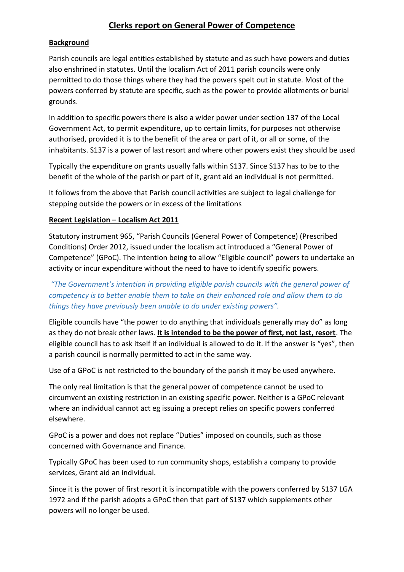# **Clerks report on General Power of Competence**

# **Background**

Parish councils are legal entities established by statute and as such have powers and duties also enshrined in statutes. Until the localism Act of 2011 parish councils were only permitted to do those things where they had the powers spelt out in statute. Most of the powers conferred by statute are specific, such as the power to provide allotments or burial grounds.

In addition to specific powers there is also a wider power under section 137 of the Local Government Act, to permit expenditure, up to certain limits, for purposes not otherwise authorised, provided it is to the benefit of the area or part of it, or all or some, of the inhabitants. S137 is a power of last resort and where other powers exist they should be used

Typically the expenditure on grants usually falls within S137. Since S137 has to be to the benefit of the whole of the parish or part of it, grant aid an individual is not permitted.

It follows from the above that Parish council activities are subject to legal challenge for stepping outside the powers or in excess of the limitations

#### **Recent Legislation – Localism Act 2011**

Statutory instrument 965, "Parish Councils (General Power of Competence) (Prescribed Conditions) Order 2012, issued under the localism act introduced a "General Power of Competence" (GPoC). The intention being to allow "Eligible council" powers to undertake an activity or incur expenditure without the need to have to identify specific powers.

*"The Government's intention in providing eligible parish councils with the general power of competency is to better enable them to take on their enhanced role and allow them to do things they have previously been unable to do under existing powers".*

Eligible councils have "the power to do anything that individuals generally may do" as long as they do not break other laws. **It is intended to be the power of first, not last, resort**. The eligible council has to ask itself if an individual is allowed to do it. If the answer is "yes", then a parish council is normally permitted to act in the same way.

Use of a GPoC is not restricted to the boundary of the parish it may be used anywhere.

The only real limitation is that the general power of competence cannot be used to circumvent an existing restriction in an existing specific power. Neither is a GPoC relevant where an individual cannot act eg issuing a precept relies on specific powers conferred elsewhere.

GPoC is a power and does not replace "Duties" imposed on councils, such as those concerned with Governance and Finance.

Typically GPoC has been used to run community shops, establish a company to provide services, Grant aid an individual.

Since it is the power of first resort it is incompatible with the powers conferred by S137 LGA 1972 and if the parish adopts a GPoC then that part of S137 which supplements other powers will no longer be used.